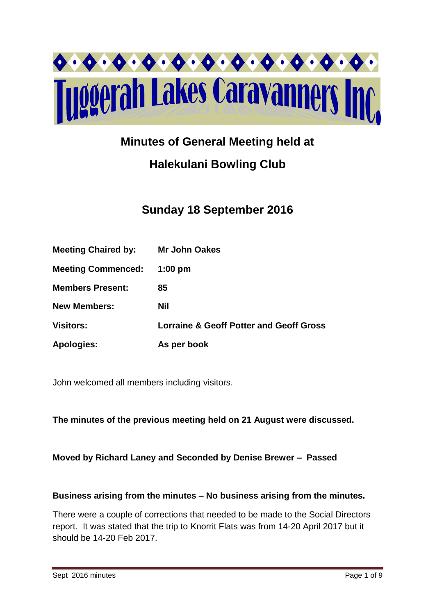

# **Minutes of General Meeting held at**

# **Halekulani Bowling Club**

# **Sunday 18 September 2016**

| <b>Meeting Chaired by:</b> | <b>Mr John Oakes</b>                               |
|----------------------------|----------------------------------------------------|
| <b>Meeting Commenced:</b>  | $1:00$ pm                                          |
| <b>Members Present:</b>    | 85                                                 |
| <b>New Members:</b>        | <b>Nil</b>                                         |
| <b>Visitors:</b>           | <b>Lorraine &amp; Geoff Potter and Geoff Gross</b> |
| <b>Apologies:</b>          | As per book                                        |

John welcomed all members including visitors.

**The minutes of the previous meeting held on 21 August were discussed.**

### **Moved by Richard Laney and Seconded by Denise Brewer – Passed**

### **Business arising from the minutes – No business arising from the minutes.**

There were a couple of corrections that needed to be made to the Social Directors report. It was stated that the trip to Knorrit Flats was from 14-20 April 2017 but it should be 14-20 Feb 2017.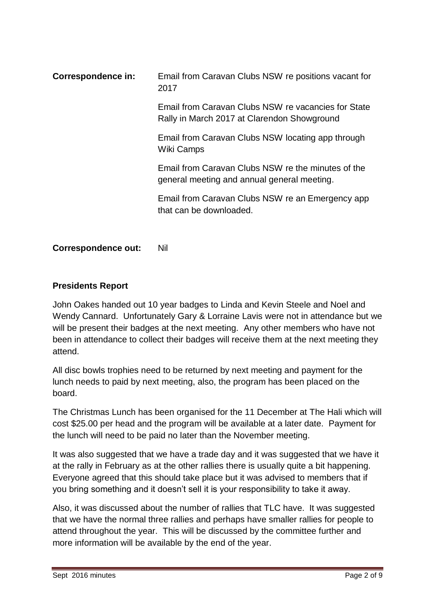| <b>Correspondence in:</b> | Email from Caravan Clubs NSW re positions vacant for<br>2017                                       |
|---------------------------|----------------------------------------------------------------------------------------------------|
|                           | Email from Caravan Clubs NSW re vacancies for State<br>Rally in March 2017 at Clarendon Showground |
|                           | Email from Caravan Clubs NSW locating app through<br>Wiki Camps                                    |
|                           | Email from Caravan Clubs NSW re the minutes of the<br>general meeting and annual general meeting.  |
|                           | Email from Caravan Clubs NSW re an Emergency app<br>that can be downloaded.                        |
|                           |                                                                                                    |

**Correspondence out:** Nil

## **Presidents Report**

John Oakes handed out 10 year badges to Linda and Kevin Steele and Noel and Wendy Cannard. Unfortunately Gary & Lorraine Lavis were not in attendance but we will be present their badges at the next meeting. Any other members who have not been in attendance to collect their badges will receive them at the next meeting they attend.

All disc bowls trophies need to be returned by next meeting and payment for the lunch needs to paid by next meeting, also, the program has been placed on the board.

The Christmas Lunch has been organised for the 11 December at The Hali which will cost \$25.00 per head and the program will be available at a later date. Payment for the lunch will need to be paid no later than the November meeting.

It was also suggested that we have a trade day and it was suggested that we have it at the rally in February as at the other rallies there is usually quite a bit happening. Everyone agreed that this should take place but it was advised to members that if you bring something and it doesn't sell it is your responsibility to take it away.

Also, it was discussed about the number of rallies that TLC have. It was suggested that we have the normal three rallies and perhaps have smaller rallies for people to attend throughout the year. This will be discussed by the committee further and more information will be available by the end of the year.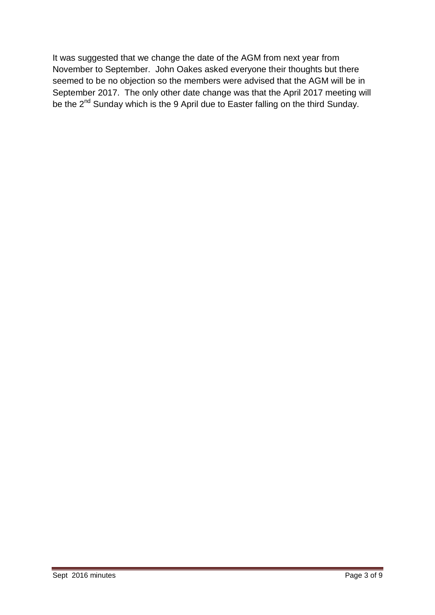It was suggested that we change the date of the AGM from next year from November to September. John Oakes asked everyone their thoughts but there seemed to be no objection so the members were advised that the AGM will be in September 2017. The only other date change was that the April 2017 meeting will be the 2<sup>nd</sup> Sunday which is the 9 April due to Easter falling on the third Sunday.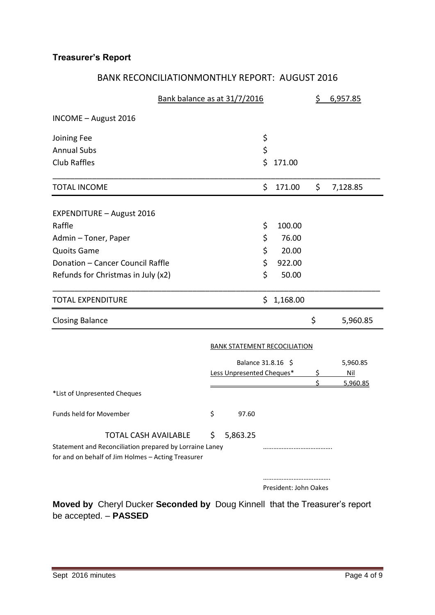# **Treasurer's Report**

# BANK RECONCILIATIONMONTHLY REPORT: AUGUST 2016

| Bank balance as at 31/7/2016                                                                                                                 |    |                           |                                     | \$ | 6,957.85   |
|----------------------------------------------------------------------------------------------------------------------------------------------|----|---------------------------|-------------------------------------|----|------------|
| INCOME - August 2016                                                                                                                         |    |                           |                                     |    |            |
| Joining Fee                                                                                                                                  |    |                           | \$                                  |    |            |
| <b>Annual Subs</b>                                                                                                                           |    |                           | \$                                  |    |            |
| <b>Club Raffles</b>                                                                                                                          |    |                           | \$<br>171.00                        |    |            |
| <b>TOTAL INCOME</b>                                                                                                                          |    |                           | \$<br>171.00                        | \$ | 7,128.85   |
| <b>EXPENDITURE - August 2016</b>                                                                                                             |    |                           |                                     |    |            |
| Raffle                                                                                                                                       |    |                           | \$<br>100.00                        |    |            |
| Admin - Toner, Paper                                                                                                                         |    |                           | \$<br>76.00                         |    |            |
| <b>Quoits Game</b>                                                                                                                           |    |                           | \$<br>20.00                         |    |            |
| Donation - Cancer Council Raffle                                                                                                             |    |                           | \$<br>922.00                        |    |            |
| Refunds for Christmas in July (x2)                                                                                                           |    |                           | \$<br>50.00                         |    |            |
| <b>TOTAL EXPENDITURE</b>                                                                                                                     |    |                           | \$<br>1,168.00                      |    |            |
| <b>Closing Balance</b>                                                                                                                       |    |                           |                                     | \$ | 5,960.85   |
|                                                                                                                                              |    |                           | <b>BANK STATEMENT RECOCILIATION</b> |    |            |
|                                                                                                                                              |    | Balance 31.8.16 \$        |                                     |    | 5,960.85   |
|                                                                                                                                              |    | Less Unpresented Cheques* |                                     | \$ | <u>Nil</u> |
|                                                                                                                                              |    |                           |                                     | Ś  | 5,960.85   |
| *List of Unpresented Cheques                                                                                                                 |    |                           |                                     |    |            |
| Funds held for Movember                                                                                                                      | \$ | 97.60                     |                                     |    |            |
| <b>TOTAL CASH AVAILABLE</b><br>Statement and Reconciliation prepared by Lorraine Laney<br>for and on behalf of Jim Holmes - Acting Treasurer | \$ | 5,863.25                  |                                     |    |            |
|                                                                                                                                              |    |                           |                                     |    |            |
|                                                                                                                                              |    |                           | President: John Oakes               |    |            |

**Moved by** Cheryl Ducker **Seconded by** Doug Kinnell that the Treasurer's report be accepted. – **PASSED**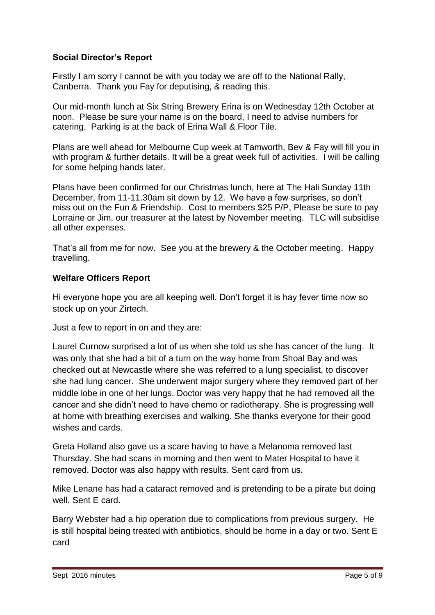## **Social Director's Report**

Firstly I am sorry I cannot be with you today we are off to the National Rally, Canberra. Thank you Fay for deputising, & reading this.

Our mid-month lunch at Six String Brewery Erina is on Wednesday 12th October at noon. Please be sure your name is on the board, I need to advise numbers for catering. Parking is at the back of Erina Wall & Floor Tile.

Plans are well ahead for Melbourne Cup week at Tamworth, Bev & Fay will fill you in with program & further details. It will be a great week full of activities. I will be calling for some helping hands later.

Plans have been confirmed for our Christmas lunch, here at The Hali Sunday 11th December, from 11-11.30am sit down by 12. We have a few surprises, so don't miss out on the Fun & Friendship. Cost to members \$25 P/P, Please be sure to pay Lorraine or Jim, our treasurer at the latest by November meeting. TLC will subsidise all other expenses.

That's all from me for now. See you at the brewery & the October meeting. Happy travelling.

### **Welfare Officers Report**

Hi everyone hope you are all keeping well. Don't forget it is hay fever time now so stock up on your Zirtech.

Just a few to report in on and they are:

Laurel Curnow surprised a lot of us when she told us she has cancer of the lung. It was only that she had a bit of a turn on the way home from Shoal Bay and was checked out at Newcastle where she was referred to a lung specialist, to discover she had lung cancer. She underwent major surgery where they removed part of her middle lobe in one of her lungs. Doctor was very happy that he had removed all the cancer and she didn't need to have chemo or radiotherapy. She is progressing well at home with breathing exercises and walking. She thanks everyone for their good wishes and cards.

Greta Holland also gave us a scare having to have a Melanoma removed last Thursday. She had scans in morning and then went to Mater Hospital to have it removed. Doctor was also happy with results. Sent card from us.

Mike Lenane has had a cataract removed and is pretending to be a pirate but doing well. Sent E card.

Barry Webster had a hip operation due to complications from previous surgery. He is still hospital being treated with antibiotics, should be home in a day or two. Sent E card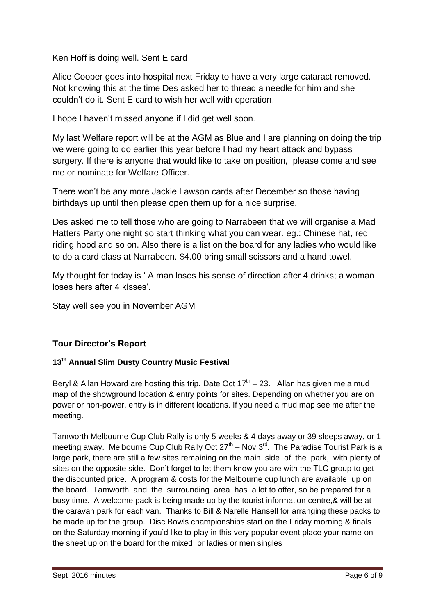Ken Hoff is doing well. Sent E card

Alice Cooper goes into hospital next Friday to have a very large cataract removed. Not knowing this at the time Des asked her to thread a needle for him and she couldn't do it. Sent E card to wish her well with operation.

I hope I haven't missed anyone if I did get well soon.

My last Welfare report will be at the AGM as Blue and I are planning on doing the trip we were going to do earlier this year before I had my heart attack and bypass surgery. If there is anyone that would like to take on position, please come and see me or nominate for Welfare Officer.

There won't be any more Jackie Lawson cards after December so those having birthdays up until then please open them up for a nice surprise.

Des asked me to tell those who are going to Narrabeen that we will organise a Mad Hatters Party one night so start thinking what you can wear. eg.: Chinese hat, red riding hood and so on. Also there is a list on the board for any ladies who would like to do a card class at Narrabeen. \$4.00 bring small scissors and a hand towel.

My thought for today is ' A man loses his sense of direction after 4 drinks; a woman loses hers after 4 kisses'.

Stay well see you in November AGM

# **Tour Director's Report**

## **13th Annual Slim Dusty Country Music Festival**

Beryl & Allan Howard are hosting this trip. Date Oct  $17<sup>th</sup> - 23$ . Allan has given me a mud map of the showground location & entry points for sites. Depending on whether you are on power or non-power, entry is in different locations. If you need a mud map see me after the meeting.

Tamworth Melbourne Cup Club Rally is only 5 weeks & 4 days away or 39 sleeps away, or 1 meeting away. Melbourne Cup Club Rally Oct  $27<sup>th</sup>$  – Nov  $3<sup>rd</sup>$ . The Paradise Tourist Park is a large park, there are still a few sites remaining on the main side of the park, with plenty of sites on the opposite side. Don't forget to let them know you are with the TLC group to get the discounted price. A program & costs for the Melbourne cup lunch are available up on the board. Tamworth and the surrounding area has a lot to offer, so be prepared for a busy time. A welcome pack is being made up by the tourist information centre,& will be at the caravan park for each van. Thanks to Bill & Narelle Hansell for arranging these packs to be made up for the group. Disc Bowls championships start on the Friday morning & finals on the Saturday morning if you'd like to play in this very popular event place your name on the sheet up on the board for the mixed, or ladies or men singles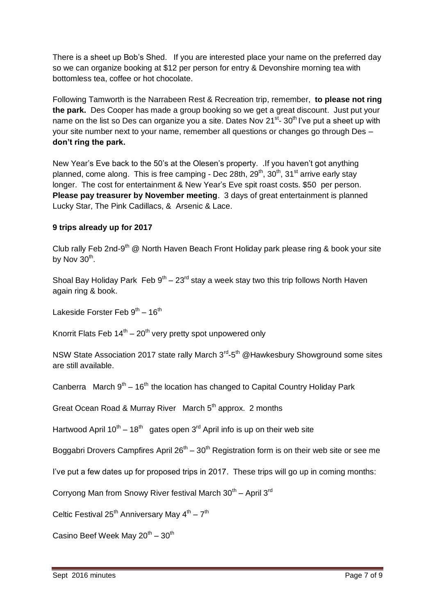There is a sheet up Bob's Shed. If you are interested place your name on the preferred day so we can organize booking at \$12 per person for entry & Devonshire morning tea with bottomless tea, coffee or hot chocolate.

Following Tamworth is the Narrabeen Rest & Recreation trip, remember, **to please not ring the park.** Des Cooper has made a group booking so we get a great discount. Just put your name on the list so Des can organize you a site. Dates Nov 21<sup>st</sup>- 30<sup>th</sup> I've put a sheet up with your site number next to your name, remember all questions or changes go through Des – **don't ring the park.**

New Year's Eve back to the 50's at the Olesen's property. .If you haven't got anything planned, come along. This is free camping - Dec 28th,  $29<sup>th</sup>$ ,  $30<sup>th</sup>$ ,  $31<sup>st</sup>$  arrive early stay longer. The cost for entertainment & New Year's Eve spit roast costs. \$50 per person. **Please pay treasurer by November meeting**. 3 days of great entertainment is planned Lucky Star, The Pink Cadillacs, & Arsenic & Lace.

#### **9 trips already up for 2017**

Club rally Feb 2nd-9<sup>th</sup> @ North Haven Beach Front Holiday park please ring & book your site by Nov 30<sup>th</sup>.

Shoal Bay Holiday Park Feb  $9<sup>th</sup> - 23<sup>rd</sup>$  stay a week stay two this trip follows North Haven again ring & book.

Lakeside Forster Feb 9<sup>th</sup> – 16<sup>th</sup>

Knorrit Flats Feb  $14^{th} - 20^{th}$  very pretty spot unpowered only

NSW State Association 2017 state rally March 3<sup>rd</sup>-5<sup>th</sup> @Hawkesbury Showground some sites are still available.

Canberra March  $9<sup>th</sup> - 16<sup>th</sup>$  the location has changed to Capital Country Holiday Park

Great Ocean Road & Murray River March 5<sup>th</sup> approx. 2 months

Hartwood April 10<sup>th</sup> – 18<sup>th</sup> gates open 3<sup>rd</sup> April info is up on their web site

Boggabri Drovers Campfires April  $26^{th} - 30^{th}$  Registration form is on their web site or see me

I've put a few dates up for proposed trips in 2017. These trips will go up in coming months:

Corryong Man from Snowy River festival March  $30^{th}$  – April  $3^{rd}$ 

Celtic Festival 25<sup>th</sup> Anniversary May  $4^{th}$  – 7<sup>th</sup>

Casino Beef Week May  $20^{th} - 30^{th}$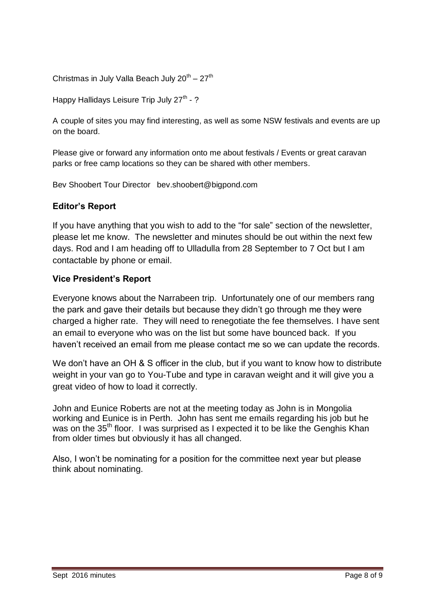Christmas in July Valla Beach July  $20^{\text{th}} - 27^{\text{th}}$ 

Happy Hallidays Leisure Trip July 27<sup>th</sup> - ?

A couple of sites you may find interesting, as well as some NSW festivals and events are up on the board.

Please give or forward any information onto me about festivals / Events or great caravan parks or free camp locations so they can be shared with other members.

Bev Shoobert Tour Director bev.shoobert@bigpond.com

### **Editor's Report**

If you have anything that you wish to add to the "for sale" section of the newsletter, please let me know. The newsletter and minutes should be out within the next few days. Rod and I am heading off to Ulladulla from 28 September to 7 Oct but I am contactable by phone or email.

#### **Vice President's Report**

Everyone knows about the Narrabeen trip. Unfortunately one of our members rang the park and gave their details but because they didn't go through me they were charged a higher rate. They will need to renegotiate the fee themselves. I have sent an email to everyone who was on the list but some have bounced back. If you haven't received an email from me please contact me so we can update the records.

We don't have an OH & S officer in the club, but if you want to know how to distribute weight in your van go to You-Tube and type in caravan weight and it will give you a great video of how to load it correctly.

John and Eunice Roberts are not at the meeting today as John is in Mongolia working and Eunice is in Perth. John has sent me emails regarding his job but he was on the 35<sup>th</sup> floor. I was surprised as I expected it to be like the Genghis Khan from older times but obviously it has all changed.

Also, I won't be nominating for a position for the committee next year but please think about nominating.